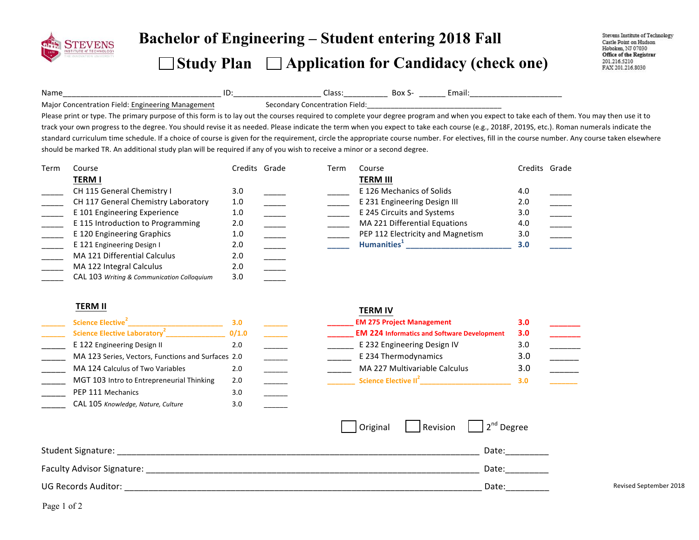

# **Bachelor of Engineering – Student entering 2018 Fall Study Plan Application for Candidacy (check one)**

Name\_\_\_\_\_\_\_\_\_\_\_\_\_\_\_\_\_\_\_\_\_\_\_\_\_\_\_\_\_\_\_\_\_\_\_\_!ID:\_\_\_\_\_\_\_\_\_\_\_\_\_\_\_\_\_\_\_\_!Class:\_\_\_\_\_\_\_\_\_\_!!Box!S- \_\_\_\_\_\_!Email:\_\_\_\_\_\_\_\_\_\_\_\_\_\_\_\_\_\_\_\_\_! Major Concentration Field: Engineering Management Secondary Concentration Field:

Please print or type. The primary purpose of this form is to lay out the courses required to complete your degree program and when you expect to take each of them. You may then use it to track your own progress to the degree. You should revise it as needed. Please indicate the term when you expect to take each course (e.g., 2018F, 2019S, etc.). Roman numerals indicate the standard curriculum time schedule. If a choice of course is given for the requirement, circle the appropriate course number. For electives, fill in the course number. Any course taken elsewhere should be marked TR. An additional study plan will be required if any of you wish to receive a minor or a second degree.

| Term | Course                                     | Credits Grade | Term | Course                            | Credits Grade |  |
|------|--------------------------------------------|---------------|------|-----------------------------------|---------------|--|
|      | <b>TERM I</b>                              |               |      | <b>TERM III</b>                   |               |  |
|      | CH 115 General Chemistry I                 | 3.0           |      | E 126 Mechanics of Solids         | 4.0           |  |
|      | CH 117 General Chemistry Laboratory        | 1.0           |      | E 231 Engineering Design III      | 2.0           |  |
|      | E 101 Engineering Experience               | 1.0           |      | E 245 Circuits and Systems        | 3.0           |  |
|      | E 115 Introduction to Programming          | 2.0           |      | MA 221 Differential Equations     | 4.0           |  |
|      | E 120 Engineering Graphics                 | 1.0           |      | PEP 112 Electricity and Magnetism | 3.0           |  |
|      | E 121 Engineering Design I                 | 2.0           |      | Humanities <sup>+</sup>           | 3.0           |  |
|      | MA 121 Differential Calculus               | 2.0           |      |                                   |               |  |
|      | MA 122 Integral Calculus                   | 2.0           |      |                                   |               |  |
|      | CAL 103 Writing & Communication Colloquium | 3.0           |      |                                   |               |  |

## **TERM%II%**

| Science Elective <sup>2</sup>                      | 3.0   |  |
|----------------------------------------------------|-------|--|
| Science Elective Laboratory <sup>2</sup>           | 0/1.0 |  |
| E 122 Engineering Design II                        | 2.0   |  |
| MA 123 Series, Vectors, Functions and Surfaces 2.0 |       |  |
| MA 124 Calculus of Two Variables                   | 2.0   |  |
| MGT 103 Intro to Entrepreneurial Thinking          | 2.0   |  |
| PEP 111 Mechanics                                  | 3.0   |  |
| CAL 105 Knowledge, Nature, Culture                 | 3.0   |  |

### **TERM%IV**

| Science Elective <sup>2</sup>                      | 3.0   |  | <b>EM 275 Project Management</b>                   | 3.0 |  |
|----------------------------------------------------|-------|--|----------------------------------------------------|-----|--|
| Science Elective Laboratory <sup>2</sup>           | 0/1.0 |  | <b>EM 224 Informatics and Software Development</b> | 3.0 |  |
| E 122 Engineering Design II                        | 2.C   |  | E 232 Engineering Design IV                        | 3.0 |  |
| MA 123 Series, Vectors, Functions and Surfaces 2.0 |       |  | E 234 Thermodynamics                               | 3.C |  |
| MA 124 Calculus of Two Variables                   |       |  | MA 227 Multivariable Calculus                      | 3.C |  |
| MGT 103 Intro to Entrepreneurial Thinking          | 2.0   |  | Science Elective II <sup>2</sup>                   | 3.0 |  |

|                            | Original | Revision $\vert$ $\vert$ 2 <sup>nd</sup> Degree |                        |
|----------------------------|----------|-------------------------------------------------|------------------------|
| Student Signature:         |          | Date:                                           |                        |
| Faculty Advisor Signature: |          | Date:                                           |                        |
| UG Records Auditor:        |          | Date:                                           | Revised September 2018 |